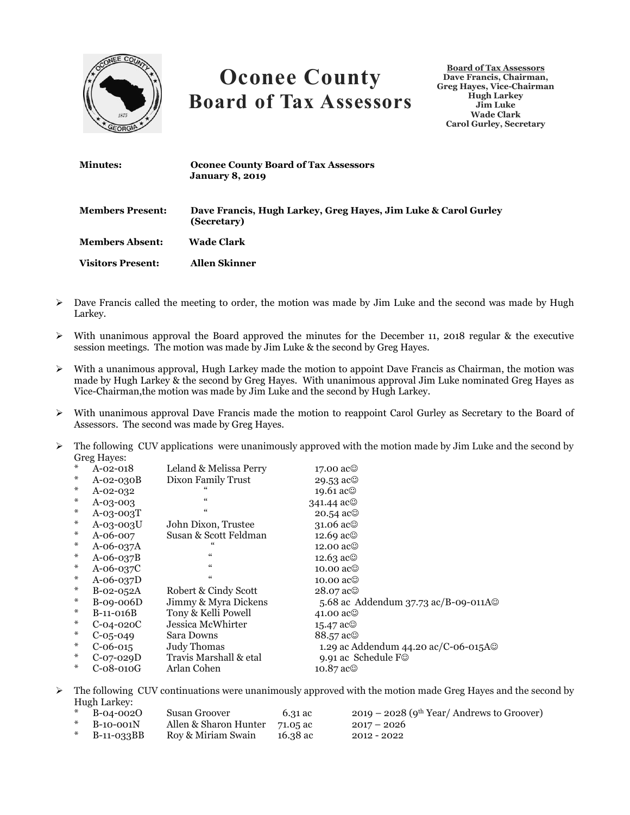

## **Oconee County Board of Tax Assessors**

**Board of Tax Assessors Dave Francis, Chairman, Greg Hayes, Vice-Chairman Hugh Larkey Jim Luke Wade Clark Carol Gurley, Secretary**

| <b>Minutes:</b>          | <b>Oconee County Board of Tax Assessors</b><br><b>January 8, 2019</b>         |
|--------------------------|-------------------------------------------------------------------------------|
| <b>Members Present:</b>  | Dave Francis, Hugh Larkey, Greg Hayes, Jim Luke & Carol Gurley<br>(Secretary) |
| <b>Members Absent:</b>   | Wade Clark                                                                    |
| <b>Visitors Present:</b> | <b>Allen Skinner</b>                                                          |

- $\triangleright$  Dave Francis called the meeting to order, the motion was made by Jim Luke and the second was made by Hugh Larkey.
- $\triangleright$  With unanimous approval the Board approved the minutes for the December 11, 2018 regular & the executive session meetings. The motion was made by Jim Luke & the second by Greg Hayes.
- $\triangleright$  With a unanimous approval, Hugh Larkey made the motion to appoint Dave Francis as Chairman, the motion was made by Hugh Larkey & the second by Greg Hayes. With unanimous approval Jim Luke nominated Greg Hayes as Vice-Chairman,the motion was made by Jim Luke and the second by Hugh Larkey.
- With unanimous approval Dave Francis made the motion to reappoint Carol Gurley as Secretary to the Board of Assessors. The second was made by Greg Hayes.
- $\triangleright$  The following CUV applications were unanimously approved with the motion made by Jim Luke and the second by Greg Hayes:

| $\ast$ | $A-02-018$        | Leland & Melissa Perry | 17.00 ac <sup>©</sup>                       |
|--------|-------------------|------------------------|---------------------------------------------|
| ∗      | $A-02-030B$       | Dixon Family Trust     | 29.53 $ac@$                                 |
| ⋇      | $A-02-032$        |                        | 19.61 ac©                                   |
| ⋇      | $A-0.3-0.03$      | $\epsilon$             | 341.44 $ac@$                                |
| ⋇      | $A - 0.3 - 0.03T$ |                        | $20.54$ ac $\odot$                          |
| ⋇      | A-03-003U         | John Dixon, Trustee    | 31.06 $ac@$                                 |
| ∗      | A-06-007          | Susan & Scott Feldman  | 12.69 ac <sup>©</sup>                       |
| ∗      | A-06-037A         |                        | 12.00 $ac@$                                 |
| $\ast$ | $A - 06 - 037B$   | $\epsilon$             | 12.63 $\text{ac}$                           |
| $\ast$ | $A - 06 - 037C$   |                        | 10.00 $ac@$                                 |
| $\ast$ | $A - 06 - 037D$   |                        | 10.00 $ac@$                                 |
| $\ast$ | $B-02-052A$       | Robert & Cindy Scott   | 28.07 ac©                                   |
| ∗      | $B-09-006D$       | Jimmy & Myra Dickens   | 5.68 ac Addendum 37.73 ac/B-09-011A $\odot$ |
| ⋇      | $B-11-016B$       | Tony & Kelli Powell    | 41.00 $ac@$                                 |
| $\ast$ | $C-04-020C$       | Jessica McWhirter      | 15.47 $ac@$                                 |
| $\ast$ | $C-0.5-0.49$      | Sara Downs             | 88.57 ac <sup>©</sup>                       |
| $\ast$ | $C-06-015$        | <b>Judy Thomas</b>     | 1.29 ac Addendum 44.20 ac/C-06-015A©        |
| $\ast$ | $C-07-029D$       | Travis Marshall & etal | 9.91 ac Schedule F©                         |
| ∗      | $C-08-010G$       | Arlan Cohen            | $10.87$ ac $\odot$                          |

 $\triangleright$  The following CUV continuations were unanimously approved with the motion made Greg Hayes and the second by Hugh Larkey:

| $*$ B-04-0020  | Susan Groover                  | 6.31 ac  | $2019 - 2028$ (9 <sup>th</sup> Year/ Andrews to Groover) |
|----------------|--------------------------------|----------|----------------------------------------------------------|
| $*$ B-10-001N  | Allen & Sharon Hunter 71.05 ac |          | $2017 - 2026$                                            |
| * $B-11-O33BB$ | Roy & Miriam Swain             | 16.38 ac | 2012 - 2022                                              |